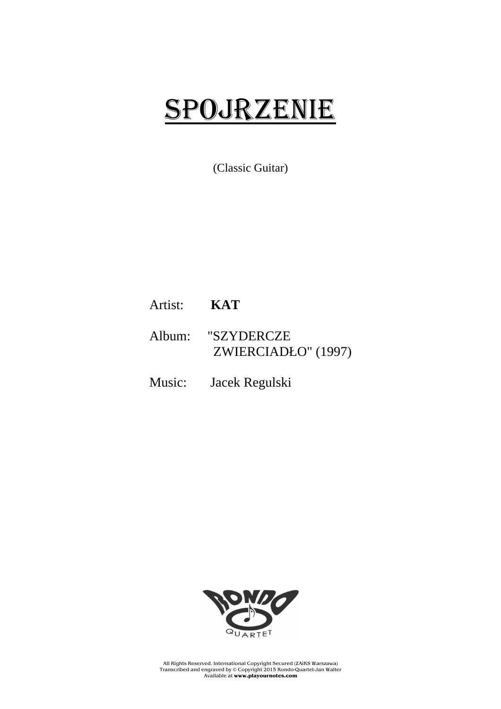# SPOJRZENIE

(Classic Guitar)

## Artist: **KAT**

### Album: "SZYDERCZE ZWIERCIADŁO" (1997)

Music: Jacek Regulski



All Rights Reserved. International Copyright Secured (ZAiKS Warszawa) Transcribed and engraved by © Copyright 2015 Rondo-Quartet-Jan Walter Available at **www.playournotes.com**